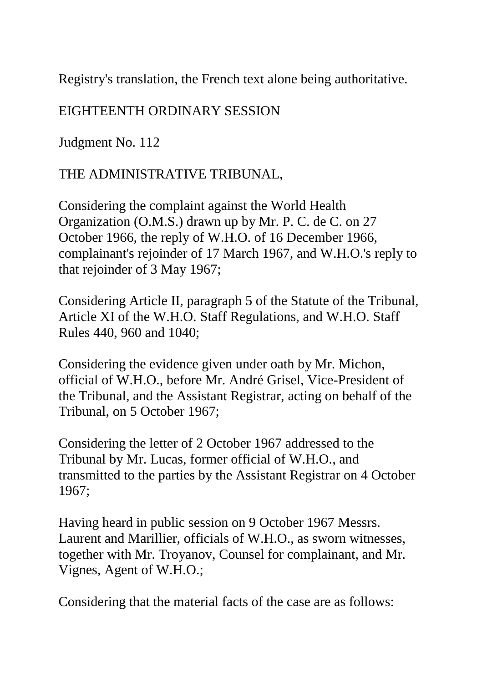Registry's translation, the French text alone being authoritative.

## EIGHTEENTH ORDINARY SESSION

Judgment No. 112

## THE ADMINISTRATIVE TRIBUNAL,

Considering the complaint against the World Health Organization (O.M.S.) drawn up by Mr. P. C. de C. on 27 October 1966, the reply of W.H.O. of 16 December 1966, complainant's rejoinder of 17 March 1967, and W.H.O.'s reply to that rejoinder of 3 May 1967;

Considering Article II, paragraph 5 of the Statute of the Tribunal, Article XI of the W.H.O. Staff Regulations, and W.H.O. Staff Rules 440, 960 and 1040;

Considering the evidence given under oath by Mr. Michon, official of W.H.O., before Mr. André Grisel, Vice-President of the Tribunal, and the Assistant Registrar, acting on behalf of the Tribunal, on 5 October 1967;

Considering the letter of 2 October 1967 addressed to the Tribunal by Mr. Lucas, former official of W.H.O., and transmitted to the parties by the Assistant Registrar on 4 October 1967;

Having heard in public session on 9 October 1967 Messrs. Laurent and Marillier, officials of W.H.O., as sworn witnesses, together with Mr. Troyanov, Counsel for complainant, and Mr. Vignes, Agent of W.H.O.;

Considering that the material facts of the case are as follows: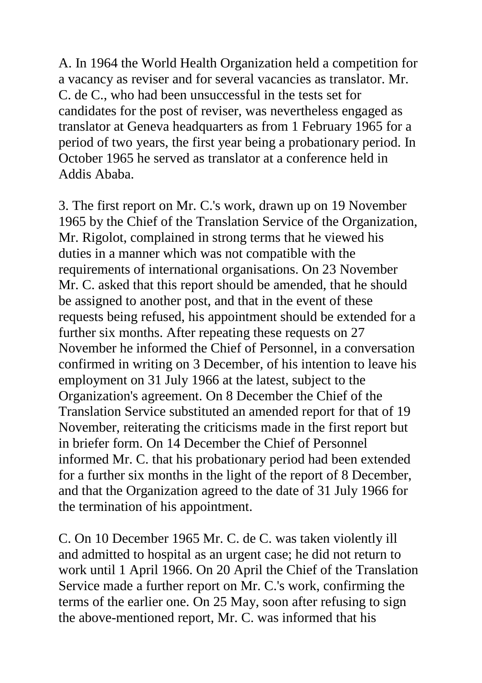A. In 1964 the World Health Organization held a competition for a vacancy as reviser and for several vacancies as translator. Mr. C. de C., who had been unsuccessful in the tests set for candidates for the post of reviser, was nevertheless engaged as translator at Geneva headquarters as from 1 February 1965 for a period of two years, the first year being a probationary period. In October 1965 he served as translator at a conference held in Addis Ababa.

3. The first report on Mr. C.'s work, drawn up on 19 November 1965 by the Chief of the Translation Service of the Organization, Mr. Rigolot, complained in strong terms that he viewed his duties in a manner which was not compatible with the requirements of international organisations. On 23 November Mr. C. asked that this report should be amended, that he should be assigned to another post, and that in the event of these requests being refused, his appointment should be extended for a further six months. After repeating these requests on 27 November he informed the Chief of Personnel, in a conversation confirmed in writing on 3 December, of his intention to leave his employment on 31 July 1966 at the latest, subject to the Organization's agreement. On 8 December the Chief of the Translation Service substituted an amended report for that of 19 November, reiterating the criticisms made in the first report but in briefer form. On 14 December the Chief of Personnel informed Mr. C. that his probationary period had been extended for a further six months in the light of the report of 8 December, and that the Organization agreed to the date of 31 July 1966 for the termination of his appointment.

C. On 10 December 1965 Mr. C. de C. was taken violently ill and admitted to hospital as an urgent case; he did not return to work until 1 April 1966. On 20 April the Chief of the Translation Service made a further report on Mr. C.'s work, confirming the terms of the earlier one. On 25 May, soon after refusing to sign the above-mentioned report, Mr. C. was informed that his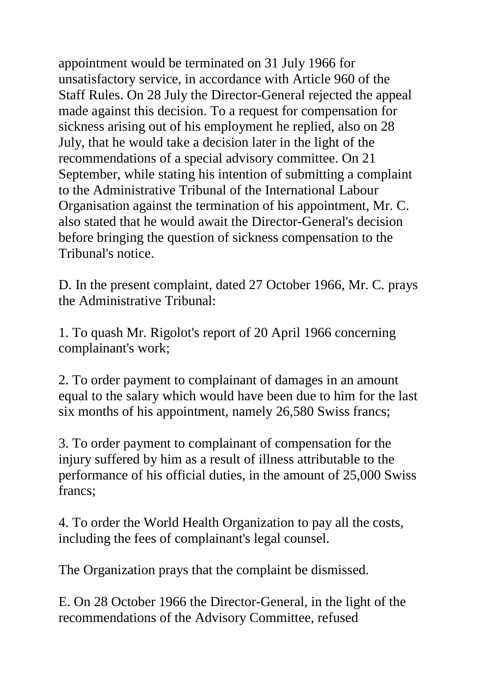appointment would be terminated on 31 July 1966 for unsatisfactory service, in accordance with Article 960 of the Staff Rules. On 28 July the Director-General rejected the appeal made against this decision. To a request for compensation for sickness arising out of his employment he replied, also on 28 July, that he would take a decision later in the light of the recommendations of a special advisory committee. On 21 September, while stating his intention of submitting a complaint to the Administrative Tribunal of the International Labour Organisation against the termination of his appointment, Mr. C. also stated that he would await the Director-General's decision before bringing the question of sickness compensation to the Tribunal's notice.

D. In the present complaint, dated 27 October 1966, Mr. C. prays the Administrative Tribunal:

1. To quash Mr. Rigolot's report of 20 April 1966 concerning complainant's work;

2. To order payment to complainant of damages in an amount equal to the salary which would have been due to him for the last six months of his appointment, namely 26,580 Swiss francs;

3. To order payment to complainant of compensation for the injury suffered by him as a result of illness attributable to the performance of his official duties, in the amount of 25,000 Swiss francs;

4. To order the World Health Organization to pay all the costs, including the fees of complainant's legal counsel.

The Organization prays that the complaint be dismissed.

E. On 28 October 1966 the Director-General, in the light of the recommendations of the Advisory Committee, refused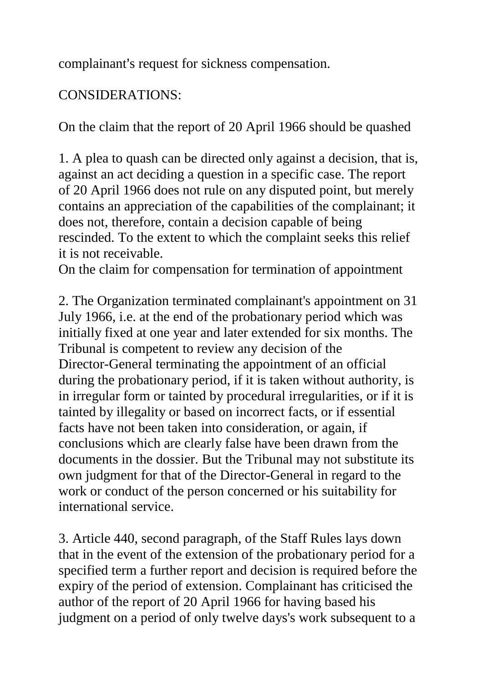complainant's request for sickness compensation.

## CONSIDERATIONS:

On the claim that the report of 20 April 1966 should be quashed

1. A plea to quash can be directed only against a decision, that is, against an act deciding a question in a specific case. The report of 20 April 1966 does not rule on any disputed point, but merely contains an appreciation of the capabilities of the complainant; it does not, therefore, contain a decision capable of being rescinded. To the extent to which the complaint seeks this relief it is not receivable.

On the claim for compensation for termination of appointment

2. The Organization terminated complainant's appointment on 31 July 1966, i.e. at the end of the probationary period which was initially fixed at one year and later extended for six months. The Tribunal is competent to review any decision of the Director-General terminating the appointment of an official during the probationary period, if it is taken without authority, is in irregular form or tainted by procedural irregularities, or if it is tainted by illegality or based on incorrect facts, or if essential facts have not been taken into consideration, or again, if conclusions which are clearly false have been drawn from the documents in the dossier. But the Tribunal may not substitute its own judgment for that of the Director-General in regard to the work or conduct of the person concerned or his suitability for international service.

3. Article 440, second paragraph, of the Staff Rules lays down that in the event of the extension of the probationary period for a specified term a further report and decision is required before the expiry of the period of extension. Complainant has criticised the author of the report of 20 April 1966 for having based his judgment on a period of only twelve days's work subsequent to a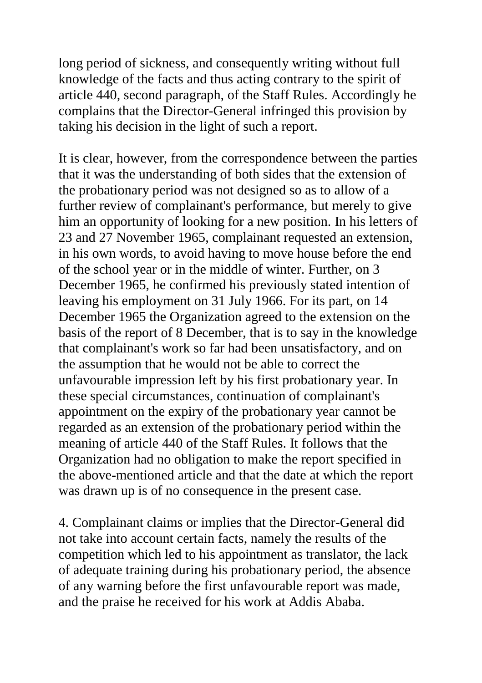long period of sickness, and consequently writing without full knowledge of the facts and thus acting contrary to the spirit of article 440, second paragraph, of the Staff Rules. Accordingly he complains that the Director-General infringed this provision by taking his decision in the light of such a report.

It is clear, however, from the correspondence between the parties that it was the understanding of both sides that the extension of the probationary period was not designed so as to allow of a further review of complainant's performance, but merely to give him an opportunity of looking for a new position. In his letters of 23 and 27 November 1965, complainant requested an extension, in his own words, to avoid having to move house before the end of the school year or in the middle of winter. Further, on 3 December 1965, he confirmed his previously stated intention of leaving his employment on 31 July 1966. For its part, on 14 December 1965 the Organization agreed to the extension on the basis of the report of 8 December, that is to say in the knowledge that complainant's work so far had been unsatisfactory, and on the assumption that he would not be able to correct the unfavourable impression left by his first probationary year. In these special circumstances, continuation of complainant's appointment on the expiry of the probationary year cannot be regarded as an extension of the probationary period within the meaning of article 440 of the Staff Rules. It follows that the Organization had no obligation to make the report specified in the above-mentioned article and that the date at which the report was drawn up is of no consequence in the present case.

4. Complainant claims or implies that the Director-General did not take into account certain facts, namely the results of the competition which led to his appointment as translator, the lack of adequate training during his probationary period, the absence of any warning before the first unfavourable report was made, and the praise he received for his work at Addis Ababa.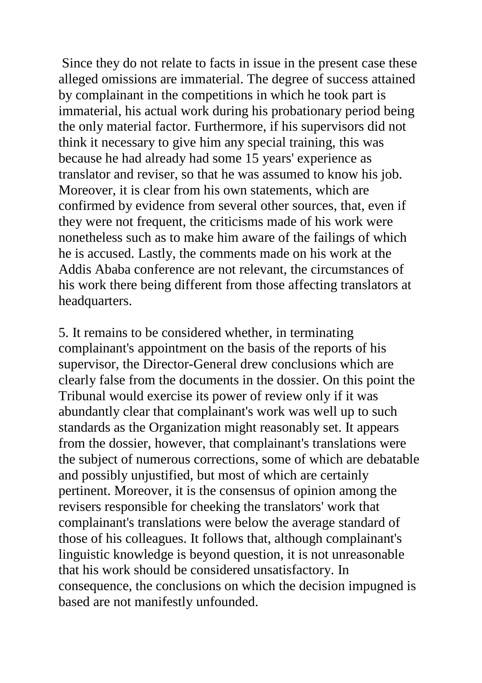Since they do not relate to facts in issue in the present case these alleged omissions are immaterial. The degree of success attained by complainant in the competitions in which he took part is immaterial, his actual work during his probationary period being the only material factor. Furthermore, if his supervisors did not think it necessary to give him any special training, this was because he had already had some 15 years' experience as translator and reviser, so that he was assumed to know his job. Moreover, it is clear from his own statements, which are confirmed by evidence from several other sources, that, even if they were not frequent, the criticisms made of his work were nonetheless such as to make him aware of the failings of which he is accused. Lastly, the comments made on his work at the Addis Ababa conference are not relevant, the circumstances of his work there being different from those affecting translators at headquarters.

5. It remains to be considered whether, in terminating complainant's appointment on the basis of the reports of his supervisor, the Director-General drew conclusions which are clearly false from the documents in the dossier. On this point the Tribunal would exercise its power of review only if it was abundantly clear that complainant's work was well up to such standards as the Organization might reasonably set. It appears from the dossier, however, that complainant's translations were the subject of numerous corrections, some of which are debatable and possibly unjustified, but most of which are certainly pertinent. Moreover, it is the consensus of opinion among the revisers responsible for cheeking the translators' work that complainant's translations were below the average standard of those of his colleagues. It follows that, although complainant's linguistic knowledge is beyond question, it is not unreasonable that his work should be considered unsatisfactory. In consequence, the conclusions on which the decision impugned is based are not manifestly unfounded.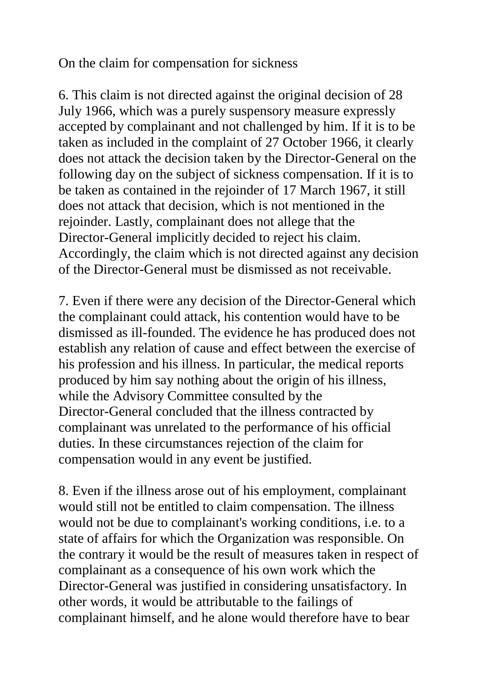On the claim for compensation for sickness

6. This claim is not directed against the original decision of 28 July 1966, which was a purely suspensory measure expressly accepted by complainant and not challenged by him. If it is to be taken as included in the complaint of 27 October 1966, it clearly does not attack the decision taken by the Director-General on the following day on the subject of sickness compensation. If it is to be taken as contained in the rejoinder of 17 March 1967, it still does not attack that decision, which is not mentioned in the rejoinder. Lastly, complainant does not allege that the Director-General implicitly decided to reject his claim. Accordingly, the claim which is not directed against any decision of the Director-General must be dismissed as not receivable.

7. Even if there were any decision of the Director-General which the complainant could attack, his contention would have to be dismissed as ill-founded. The evidence he has produced does not establish any relation of cause and effect between the exercise of his profession and his illness. In particular, the medical reports produced by him say nothing about the origin of his illness, while the Advisory Committee consulted by the Director-General concluded that the illness contracted by complainant was unrelated to the performance of his official duties. In these circumstances rejection of the claim for compensation would in any event be justified.

8. Even if the illness arose out of his employment, complainant would still not be entitled to claim compensation. The illness would not be due to complainant's working conditions, i.e. to a state of affairs for which the Organization was responsible. On the contrary it would be the result of measures taken in respect of complainant as a consequence of his own work which the Director-General was justified in considering unsatisfactory. In other words, it would be attributable to the failings of complainant himself, and he alone would therefore have to bear